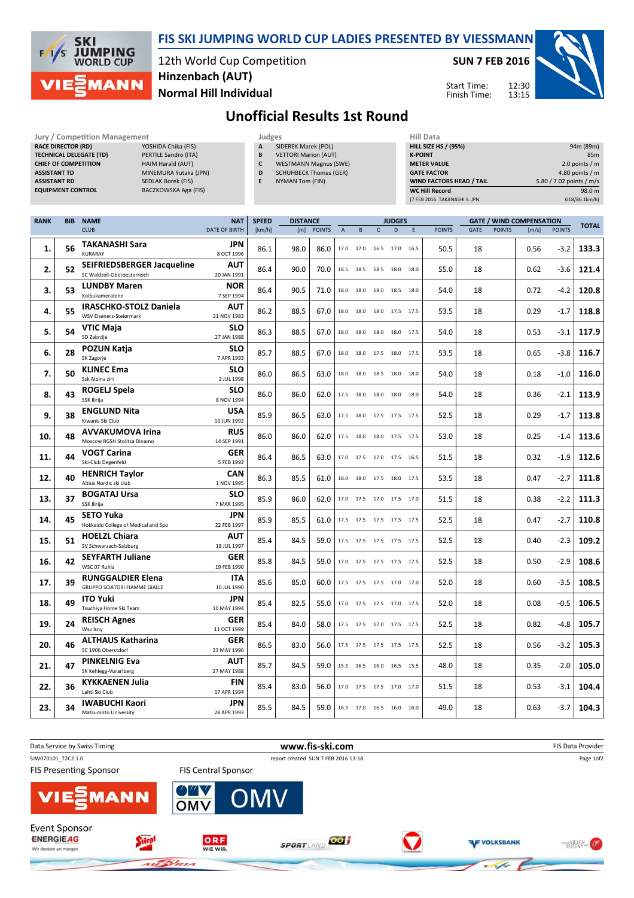

RACE DIRECTOR (RD)

### FIS SKI JUMPING WORLD CUP LADIES PRESENTED BY VIESSMANN

12th World Cup Competition Normal Hill Individual Hinzenbach (AUT)

Jury / Competition Management **Judges** Judges **Hill Data**<br> **RACE DIRECTOR (RD)** YOSHIDA Chika (FIS) **A** SIDEREK Marek (POL) **HILL SIZE H**ILL SIZE

SUN 7 FEB 2016

HILL SIZE HS / (95%) 94m (89m) **K-POINT** 85m

12:30 13:15 Start Time: Finish Time:



# Unofficial Results 1st Round

A SIDEREK Marek (POL)

| <b>TECHNICAL DELEGATE (TD)</b><br>PERTILE Sandro (ITA)<br><b>CHIEF OF COMPETITION</b><br>HAIM Harald (AUT)<br><b>ASSISTANT TD</b><br>MINEMURA Yutaka (JPN)<br><b>ASSISTANT RD</b><br><b>SEDLAK Borek (FIS)</b><br><b>EQUIPMENT CONTROL</b><br>BACZKOWSKA Aga (FIS) |            |                                                                  |  | <b>VETTORI Marion (AUT)</b><br>В<br>$\mathsf{c}$<br><b>WESTMANN Magnus (SWE)</b><br><b>SCHUHBECK Thomas (GER)</b><br>D<br>E<br>NYMAN Tom (FIN) |              |                 |            |                           |           | <b>K-POINT</b><br><b>METER VALUE</b><br><b>GATE FACTOR</b><br>WIND FACTORS HEAD / TAIL<br><b>WC Hill Record</b><br>(7 FEB 2016 TAKANASHI S. JPN |                                                        |      |               | 85m<br>2.0 points / $m$<br>4.80 points / $m$<br>5.80 / 7.02 points / m/s<br>98.0 m<br>G18/86.1km/h) |               |                                 |               |              |
|--------------------------------------------------------------------------------------------------------------------------------------------------------------------------------------------------------------------------------------------------------------------|------------|------------------------------------------------------------------|--|------------------------------------------------------------------------------------------------------------------------------------------------|--------------|-----------------|------------|---------------------------|-----------|-------------------------------------------------------------------------------------------------------------------------------------------------|--------------------------------------------------------|------|---------------|-----------------------------------------------------------------------------------------------------|---------------|---------------------------------|---------------|--------------|
| <b>RANK</b>                                                                                                                                                                                                                                                        | <b>BIB</b> | <b>NAME</b>                                                      |  | <b>NAT</b>                                                                                                                                     | <b>SPEED</b> | <b>DISTANCE</b> |            |                           |           |                                                                                                                                                 | <b>JUDGES</b>                                          |      |               |                                                                                                     |               | <b>GATE / WIND COMPENSATION</b> |               |              |
|                                                                                                                                                                                                                                                                    |            | <b>CLUB</b>                                                      |  | <b>DATE OF BIRTH</b>                                                                                                                           | [km/h]       |                 | [m] POINTS | $\boldsymbol{\mathsf{A}}$ | B         | $\mathsf{C}$                                                                                                                                    | D                                                      | E    | <b>POINTS</b> | <b>GATE</b>                                                                                         | <b>POINTS</b> | [m/s]                           | <b>POINTS</b> | <b>TOTAL</b> |
| 1.                                                                                                                                                                                                                                                                 | 56         | <b>TAKANASHI Sara</b><br>KURARAY                                 |  | JPN<br>8 OCT 1996                                                                                                                              | 86.1         | 98.0            | 86.0       |                           | 17.0 17.0 |                                                                                                                                                 | 16.5 17.0 16.5                                         |      | 50.5          | 18                                                                                                  |               | 0.56                            | $-3.2$        | 133.3        |
| 2.                                                                                                                                                                                                                                                                 | 52         | <b>SEIFRIEDSBERGER Jacqueline</b><br>SC Waldzell-Oberoesterreich |  | AUT<br>20 JAN 1991                                                                                                                             | 86.4         | 90.0            | 70.0       |                           | 18.5 18.5 |                                                                                                                                                 | 18.5 18.0 18.0                                         |      | 55.0          | 18                                                                                                  |               | 0.62                            | $-3.6$        | 121.4        |
| 3.                                                                                                                                                                                                                                                                 | 53         | <b>LUNDBY Maren</b><br>Kolbukameratene                           |  | <b>NOR</b><br>7 SEP 1994                                                                                                                       | 86.4         | 90.5            | 71.0       |                           | 18.0 18.0 | 18.0 18.5                                                                                                                                       |                                                        | 18.0 | 54.0          | 18                                                                                                  |               | 0.72                            | $-4.2$        | 120.8        |
| 4.                                                                                                                                                                                                                                                                 | 55         | <b>IRASCHKO-STOLZ Daniela</b><br>WSV Eisenerz-Steiermark         |  | AUT<br>21 NOV 1983                                                                                                                             | 86.2         | 88.5            | 67.0       |                           | 18.0 18.0 |                                                                                                                                                 | 18.0 17.5 17.5                                         |      | 53.5          | 18                                                                                                  |               | 0.29                            | $-1.7$        | 118.8        |
| 5.                                                                                                                                                                                                                                                                 | 54         | VTIC Maja<br>SD Zabrdje                                          |  | <b>SLO</b><br>27 JAN 1988                                                                                                                      | 86.3         | 88.5            | 67.0       |                           | 18.0 18.0 |                                                                                                                                                 | 18.0 18.0 17.5                                         |      | 54.0          | 18                                                                                                  |               | 0.53                            | $-3.1$        | 117.9        |
| 6.                                                                                                                                                                                                                                                                 | 28         | POZUN Katja<br>SK Zagorje                                        |  | <b>SLO</b><br>7 APR 1993                                                                                                                       | 85.7         | 88.5            | 67.0       |                           | 18.0 18.0 |                                                                                                                                                 | 17.5 18.0 17.5                                         |      | 53.5          | 18                                                                                                  |               | 0.65                            | $-3.8$        | 116.7        |
| 7.                                                                                                                                                                                                                                                                 | 50         | <b>KLINEC Ema</b><br>Ssk Alpina ziri                             |  | <b>SLO</b><br>2 JUL 1998                                                                                                                       | 86.0         | 86.5            | 63.0       | 18.0                      | 18.0      |                                                                                                                                                 | 18.5 18.0                                              | 18.0 | 54.0          | 18                                                                                                  |               | 0.18                            | $-1.0$        | 116.0        |
| 8.                                                                                                                                                                                                                                                                 | 43         | ROGELJ Spela<br>SSK Ilirija                                      |  | <b>SLO</b><br>8 NOV 1994                                                                                                                       | 86.0         | 86.0            | 62.0       |                           | 17.5 18.0 | 18.0                                                                                                                                            | 18.0 18.0                                              |      | 54.0          | 18                                                                                                  |               | 0.36                            | $-2.1$        | 113.9        |
| 9.                                                                                                                                                                                                                                                                 | 38         | <b>ENGLUND Nita</b><br>Kiwanis Ski Club                          |  | USA<br>10 JUN 1992                                                                                                                             | 85.9         | 86.5            | 63.0       |                           |           |                                                                                                                                                 | 17.5 18.0 17.5 17.5 17.5                               |      | 52.5          | 18                                                                                                  |               | 0.29                            | $-1.7$        | 113.8        |
| 10.                                                                                                                                                                                                                                                                | 48         | <b>AVVAKUMOVA Irina</b><br>Moscow RGSH Stolitsa Dinamo           |  | <b>RUS</b><br>14 SEP 1991                                                                                                                      | 86.0         | 86.0            | 62.0       |                           | 17.5 18.0 |                                                                                                                                                 | 18.0 17.5 17.5                                         |      | 53.0          | 18                                                                                                  |               | 0.25                            | $-1.4$        | 113.6        |
| 11.                                                                                                                                                                                                                                                                | 44         | <b>VOGT Carina</b><br>Ski-Club Degenfeld                         |  | GER<br>5 FEB 1992                                                                                                                              | 86.4         | 86.5            | 63.0       |                           | 17.0 17.5 |                                                                                                                                                 | 17.0 17.5 16.5                                         |      | 51.5          | 18                                                                                                  |               | 0.32                            | $-1.9$        | 112.6        |
| 12.                                                                                                                                                                                                                                                                | 40         | <b>HENRICH Taylor</b><br>Altius Nordic ski club                  |  | CAN<br>1 NOV 1995                                                                                                                              | 86.3         | 85.5            | 61.0       |                           | 18.0 18.0 |                                                                                                                                                 | 17.5 18.0 17.5                                         |      | 53.5          | 18                                                                                                  |               | 0.47                            | $-2.7$        | 111.8        |
| 13.                                                                                                                                                                                                                                                                | 37         | <b>BOGATAJ Ursa</b><br>SSK Ilirija                               |  | <b>SLO</b><br>7 MAR 1995                                                                                                                       | 85.9         | 86.0            | 62.0       |                           |           |                                                                                                                                                 | 17.0 17.5 17.0 17.5 17.0                               |      | 51.5          | 18                                                                                                  |               | 0.38                            | $-2.2$        | 111.3        |
| 14.                                                                                                                                                                                                                                                                | 45         | <b>SETO Yuka</b><br>Hokkaido College of Medical and Spo          |  | JPN<br>22 FEB 1997                                                                                                                             | 85.9         | 85.5            | 61.0       |                           |           |                                                                                                                                                 | 17.5 17.5 17.5 17.5 17.5                               |      | 52.5          | 18                                                                                                  |               | 0.47                            | $-2.7$        | 110.8        |
| 15.                                                                                                                                                                                                                                                                | 51         | <b>HOELZL Chiara</b><br>SV Schwarzach-Salzburg                   |  | AUT<br>18 JUL 1997                                                                                                                             | 85.4         | 84.5            | 59.0       |                           |           |                                                                                                                                                 | 17.5 17.5 17.5 17.5 17.5                               |      | 52.5          | 18                                                                                                  |               | 0.40                            | $-2.3$        | 109.2        |
| 16.                                                                                                                                                                                                                                                                | 42         | <b>SEYFARTH Juliane</b><br>WSC 07 Ruhla                          |  | GER<br>19 FEB 1990                                                                                                                             | 85.8         | 84.5            | 59.0       |                           |           |                                                                                                                                                 | 17.0 17.5 17.5 17.5 17.5                               |      | 52.5          | 18                                                                                                  |               | 0.50                            | $-2.9$        | 108.6        |
| 17.                                                                                                                                                                                                                                                                | 39         | <b>RUNGGALDIER Elena</b><br><b>GRUPPO SCIATORI FIAMME GIALLE</b> |  | <b>ITA</b><br>10 JUL 1990                                                                                                                      | 85.6         | 85.0            | 60.0       |                           |           |                                                                                                                                                 | 17.5 17.5 17.5 17.0 17.0                               |      | 52.0          | 18                                                                                                  |               | 0.60                            | $-3.5$        | 108.5        |
| 18.                                                                                                                                                                                                                                                                | 49         | <b>ITO Yuki</b><br>Tsuchiya Home Ski Team                        |  | JPN<br>10 MAY 1994                                                                                                                             | 85.4         | 82.5            | 55.0       |                           |           |                                                                                                                                                 | 17.0 17.5 17.5 17.0 17.5                               |      | 52.0          | 18                                                                                                  |               | 0.08                            | $-0.5$        | 106.5        |
| 19.                                                                                                                                                                                                                                                                | 24         | <b>REISCH Agnes</b><br>Wsv Isny                                  |  | GER<br>11 OCT 1999                                                                                                                             | 85.4         | 84.0            | 58.0       |                           |           |                                                                                                                                                 | 17.5 17.5 17.0 17.5 17.5                               |      | 52.5          | 18                                                                                                  |               | 0.82                            | -4.8          | 105.7        |
| 20.                                                                                                                                                                                                                                                                | 46         | <b>ALTHAUS Katharina</b><br>SC 1906 Oberstdorf                   |  | <b>GER</b><br>23 MAY 1996                                                                                                                      | 86.5         | 83.0            | 56.0       |                           |           |                                                                                                                                                 | 17.5 17.5 17.5 17.5 17.5                               |      | 52.5          | 18                                                                                                  |               | 0.56                            | $-3.2$        | 105.3        |
| 21.                                                                                                                                                                                                                                                                | 47         | <b>PINKELNIG Eva</b><br>SK Kehlegg-Vorarlberg                    |  | <b>AUT</b><br>27 MAY 1988                                                                                                                      | 85.7         | 84.5            | 59.0       |                           |           |                                                                                                                                                 | 15.5    16.5    16.0    16.5    15.5                   |      | 48.0          | 18                                                                                                  |               | 0.35                            | $-2.0$        | 105.0        |
| 22.                                                                                                                                                                                                                                                                | 36         | <b>KYKKAENEN Julia</b><br>Lahti Ski Club                         |  | <b>FIN</b><br>17 APR 1994                                                                                                                      | 85.4         | 83.0            | 56.0       |                           |           |                                                                                                                                                 | 17.0  17.5  17.5  17.0  17.0                           |      | 51.5          | 18                                                                                                  |               | 0.53                            | $-3.1$        | 104.4        |
| 23.                                                                                                                                                                                                                                                                | 34         | <b>IWABUCHI Kaori</b><br>Matsumoto University                    |  | JPN<br>28 APR 1993                                                                                                                             | 85.5         | 84.5            | 59.0       |                           |           |                                                                                                                                                 | $16.5 \qquad 17.0 \qquad 16.5 \qquad 16.0 \qquad 16.0$ |      | 49.0          | 18                                                                                                  |               | 0.63                            | $-3.7$        | 104.3        |